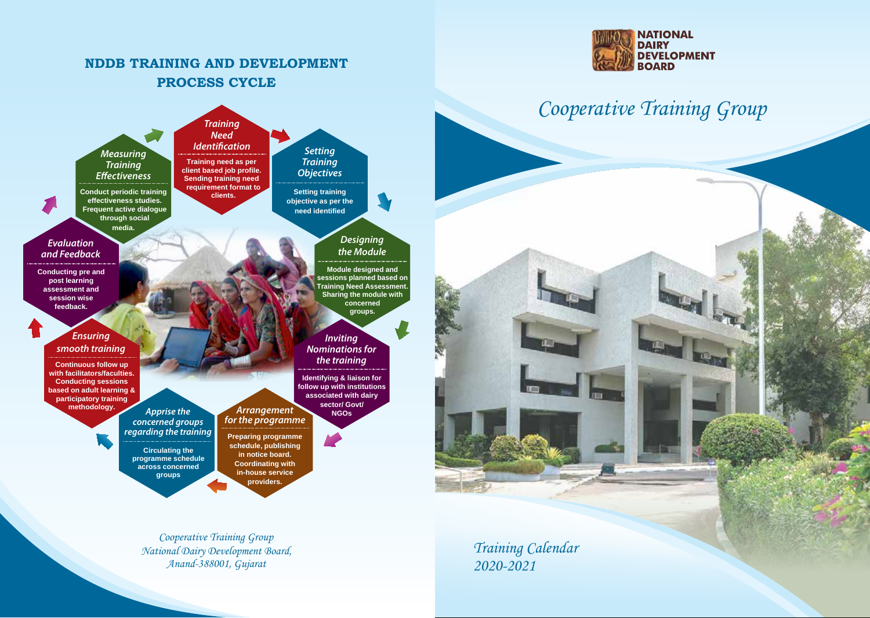## **NDDB TRAINING AND DEVELOPMENT PROCESS CYCLE**



## Cooperative Training Group



Cooperative Training Group National Dairy Development Board, Anand-388001, Gujarat

Training Calendar 2020-2021